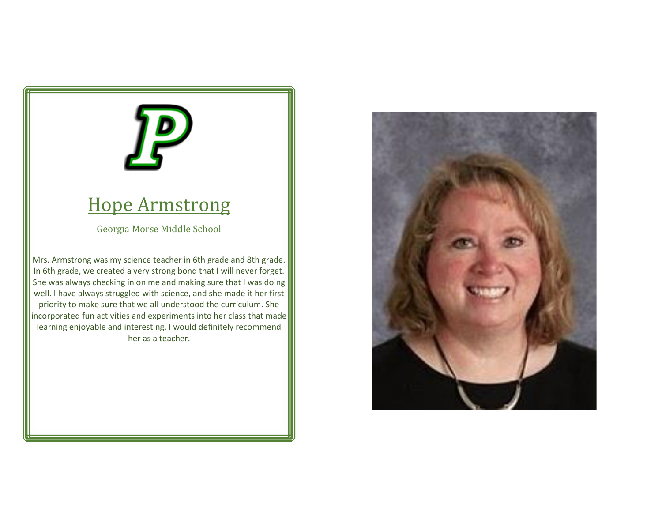### Hope Armstrong

Georgia Morse Middle School

Mrs. Armstrong was my science teacher in 6th grade and 8th grade. In 6th grade, we created a very strong bond that I will never forget. She was always checking in on me and making sure that I was doing well. I have always struggled with science, and she made it her first priority to make sure that we all understood the curriculum. She incorporated fun activities and experiments into her class that made learning enjoyable and interesting. I would definitely recommend her as a teacher.

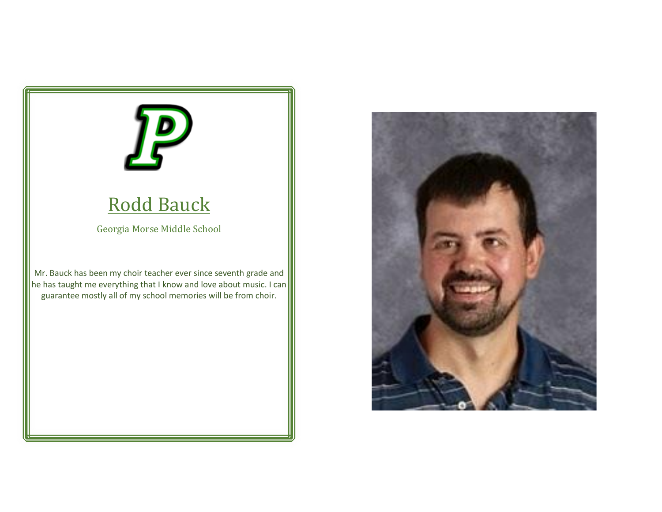

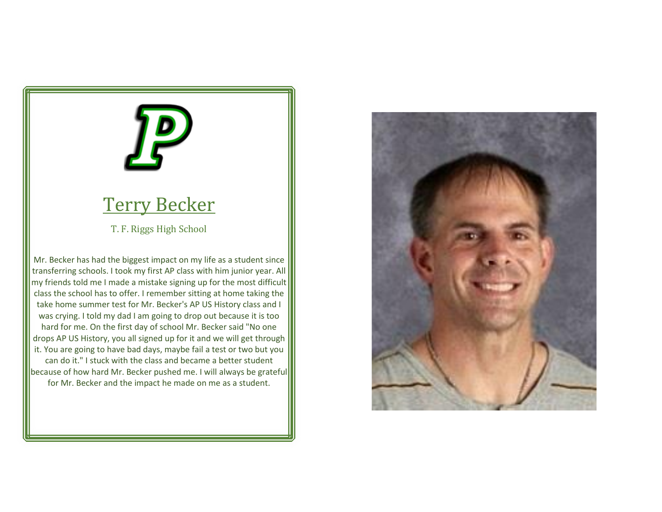### Terry Becker

T. F. Riggs High School

Mr. Becker has had the biggest impact on my life as a student since transferring schools. I took my first AP class with him junior year. All my friends told me I made a mistake signing up for the most difficult class the school has to offer. I remember sitting at home taking the take home summer test for Mr. Becker's AP US History class and I was crying. I told my dad I am going to drop out because it is too hard for me. On the first day of school Mr. Becker said "No one drops AP US History, you all signed up for it and we will get through it. You are going to have bad days, maybe fail a test or two but you can do it." I stuck with the class and became a better student because of how hard Mr. Becker pushed me. I will always be grateful for Mr. Becker and the impact he made on me as a student.

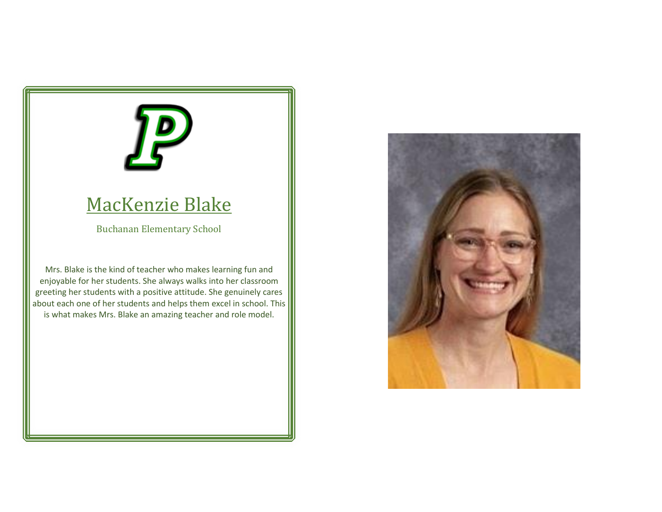### MacKenzie Blake

Buchanan Elementary School

Mrs. Blake is the kind of teacher who makes learning fun and enjoyable for her students. She always walks into her classroom greeting her students with a positive attitude. She genuinely cares about each one of her students and helps them excel in school. This is what makes Mrs. Blake an amazing teacher and role model.

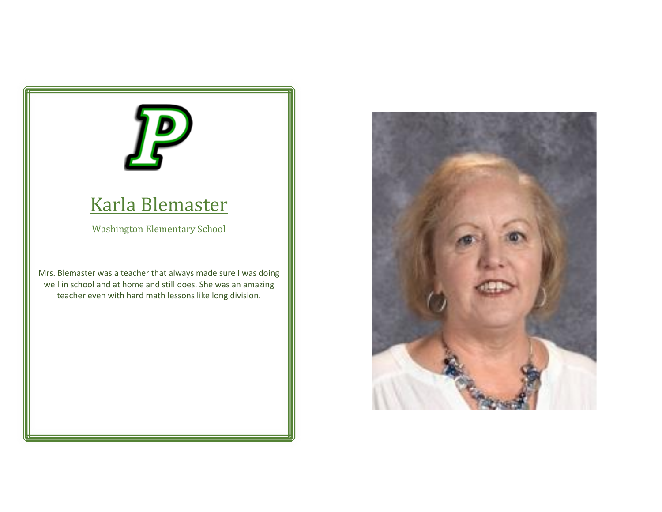### Karla Blemaster

Washington Elementary School

Mrs. Blemaster was a teacher that always made sure I was doing well in school and at home and still does. She was an amazing teacher even with hard math lessons like long division.

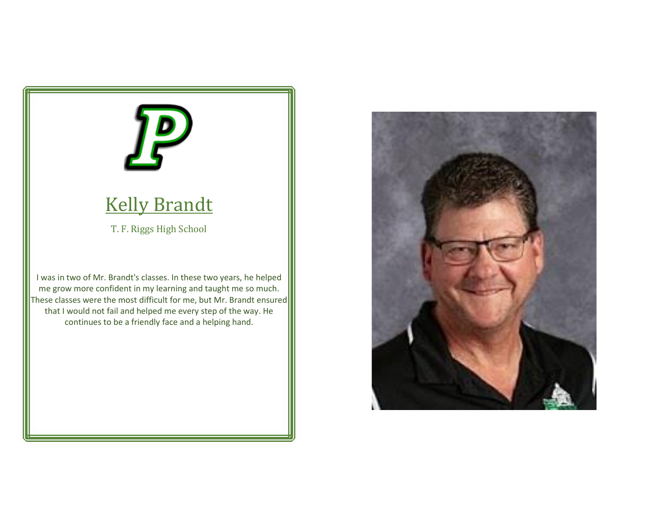# **Kelly Brandt** T. F. Riggs High School

I was in two of Mr. Brandt's classes. In these two years, he helped me grow more confident in my learning and taught me so much. These classes were the most difficult for me, but Mr. Brandt ensured that I would not fail and helped me every step of the way. He continues to be a friendly face and a helping hand.

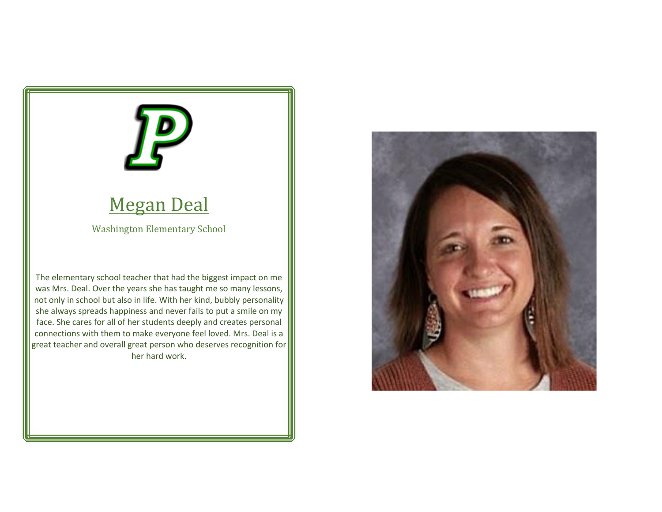### Megan Deal

Washington Elementary School

The elementary school teacher that had the biggest impact on me was Mrs. Deal. Over the years she has taught me so many lessons, not only in school but also in life. With her kind, bubbly personality she always spreads happiness and never fails to put a smile on my face. She cares for all of her students deeply and creates personal connections with them to make everyone feel loved. Mrs. Deal is a great teacher and overall great person who deserves recognition for her hard work.

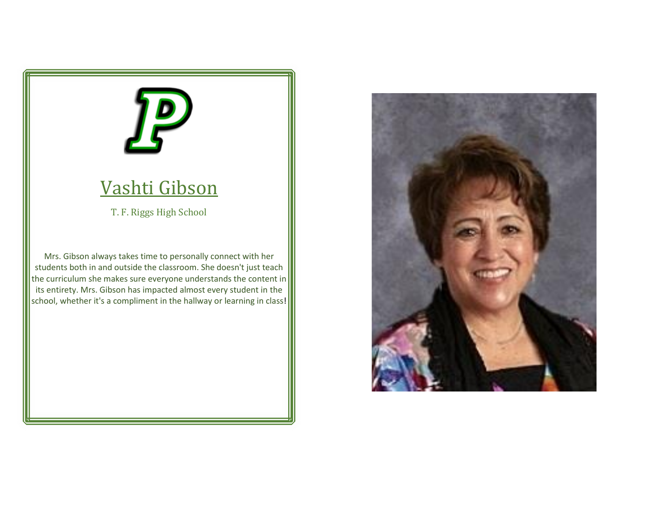

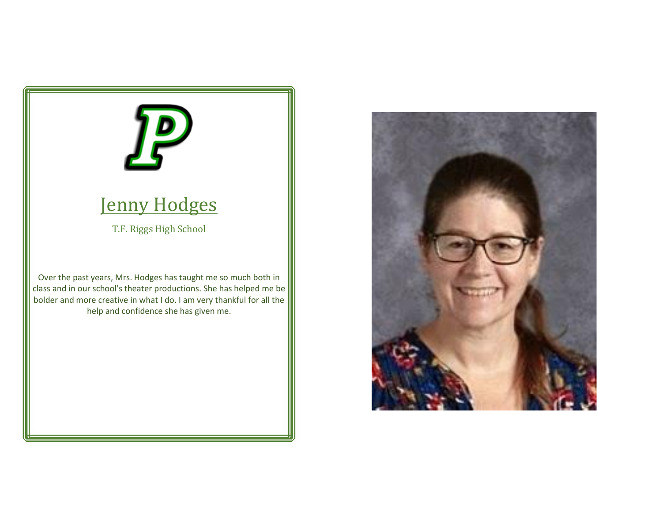

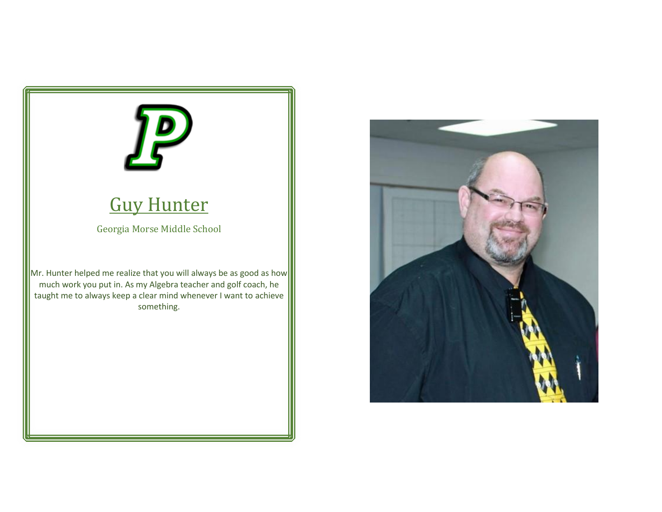

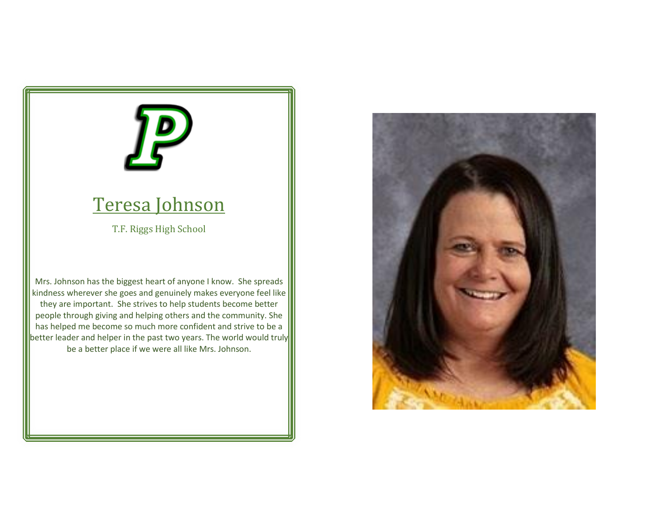### Teresa Johnson

T.F. Riggs High School

Mrs. Johnson has the biggest heart of anyone I know. She spreads kindness wherever she goes and genuinely makes everyone feel like they are important. She strives to help students become better people through giving and helping others and the community. She has helped me become so much more confident and strive to be a better leader and helper in the past two years. The world would truly be a better place if we were all like Mrs. Johnson.

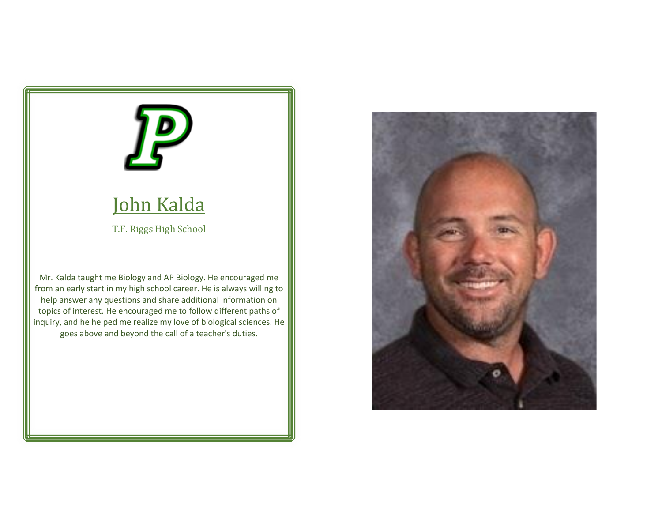

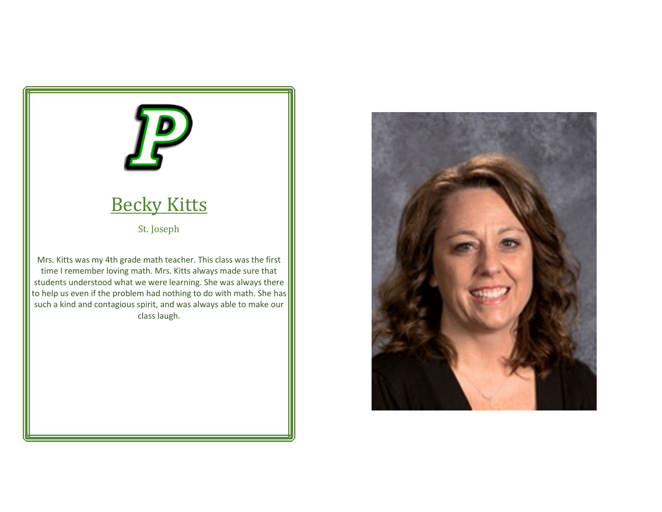

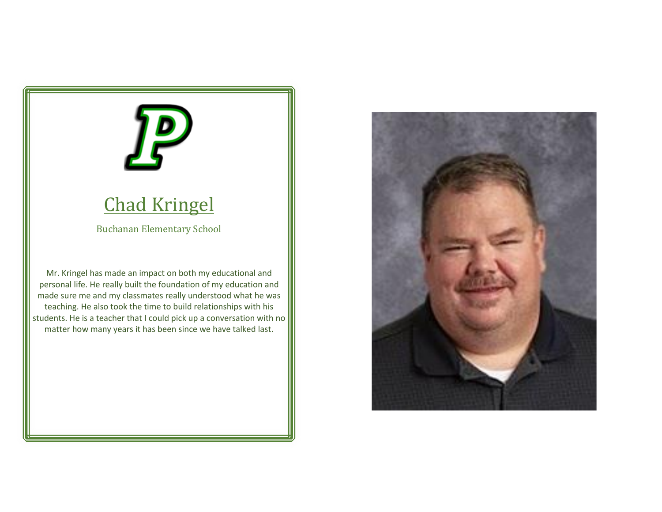### Chad Kringel

Buchanan Elementary School

Mr. Kringel has made an impact on both my educational and personal life. He really built the foundation of my education and made sure me and my classmates really understood what he was teaching. He also took the time to build relationships with his students. He is a teacher that I could pick up a conversation with no matter how many years it has been since we have talked last.

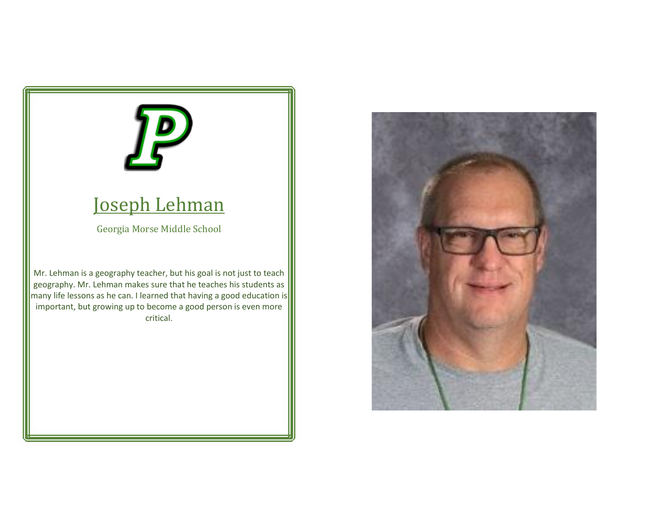### Joseph Lehman

Georgia Morse Middle School

Mr. Lehman is a geography teacher, but his goal is not just to teach geography. Mr. Lehman makes sure that he teaches his students as many life lessons as he can. I learned that having a good education is important, but growing up to become a good person is even more critical.

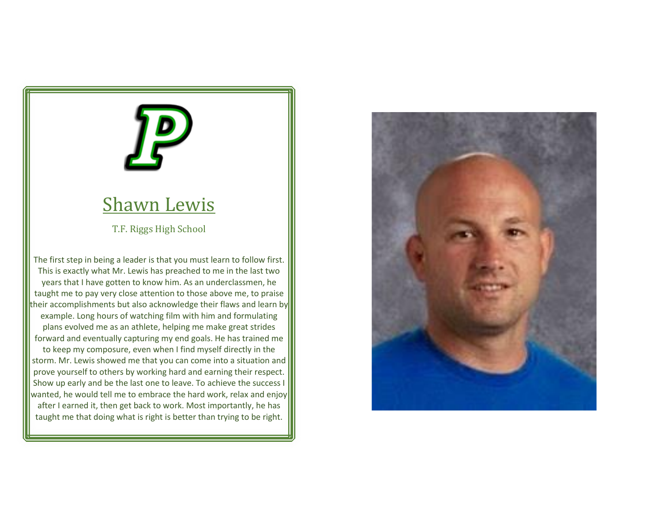### Shawn Lewis

T.F. Riggs High School

The first step in being a leader is that you must learn to follow first. This is exactly what Mr. Lewis has preached to me in the last two years that I have gotten to know him. As an underclassmen, he taught me to pay very close attention to those above me, to praise their accomplishments but also acknowledge their flaws and learn by example. Long hours of watching film with him and formulating plans evolved me as an athlete, helping me make great strides forward and eventually capturing my end goals. He has trained me to keep my composure, even when I find myself directly in the storm. Mr. Lewis showed me that you can come into a situation and prove yourself to others by working hard and earning their respect. Show up early and be the last one to leave. To achieve the success I wanted, he would tell me to embrace the hard work, relax and enjoy after I earned it, then get back to work. Most importantly, he has taught me that doing what is right is better than trying to be right.

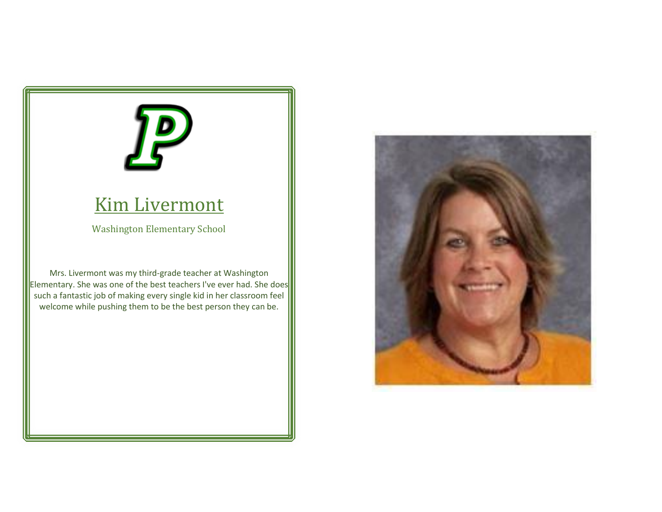### Kim Livermont

Washington Elementary School

Mrs. Livermont was my third-grade teacher at Washington Elementary. She was one of the best teachers I've ever had. She does such a fantastic job of making every single kid in her classroom feel welcome while pushing them to be the best person they can be.

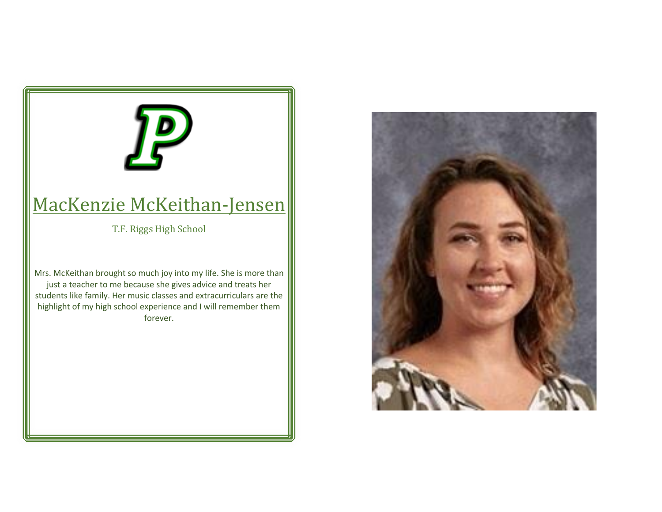# MacKenzie McKeithan-Jensen T.F. Riggs High School Mrs. McKeithan brought so much joy into my life. She is more than just a teacher to me because she gives advice and treats her students like family. Her music classes and extracurriculars are the highlight of my high school experience and I will remember them forever.

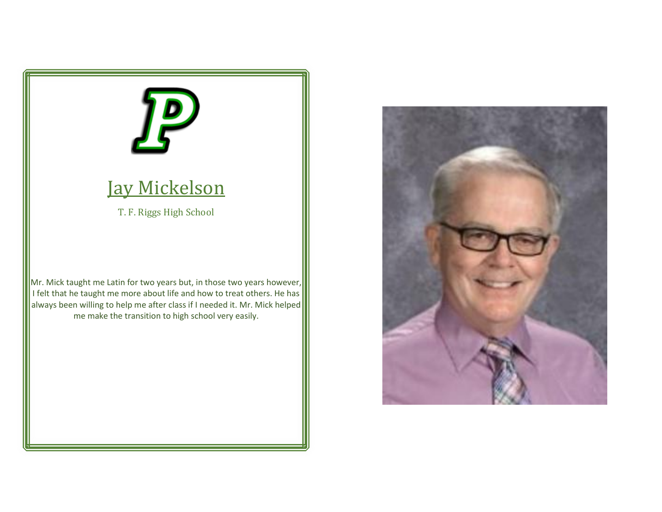

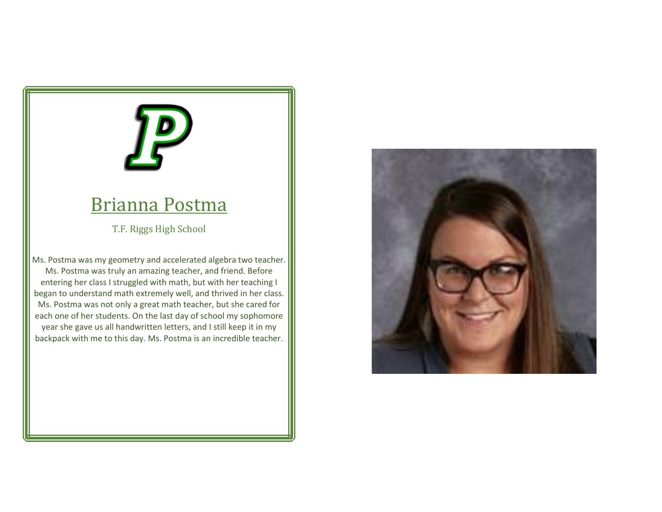### Brianna Postma

T.F. Riggs High School

Ms. Postma was my geometry and accelerated algebra two teacher. Ms. Postma was truly an amazing teacher, and friend. Before entering her class I struggled with math, but with her teaching I began to understand math extremely well, and thrived in her class. Ms. Postma was not only a great math teacher, but she cared for each one of her students. On the last day of school my sophomore year she gave us all handwritten letters, and I still keep it in my backpack with me to this day. Ms. Postma is an incredible teacher.

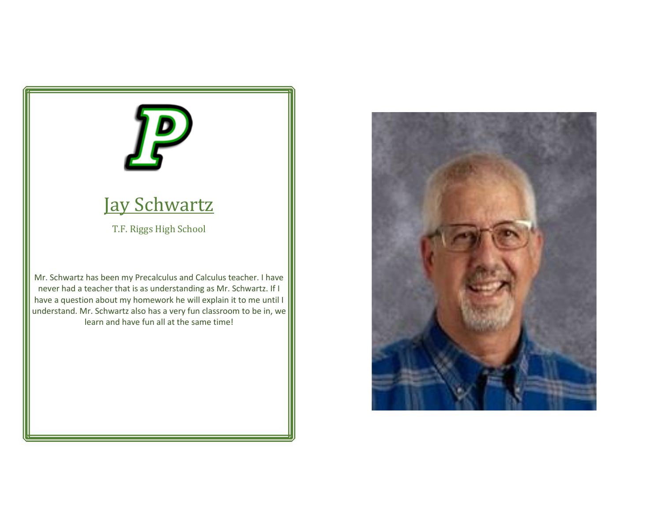

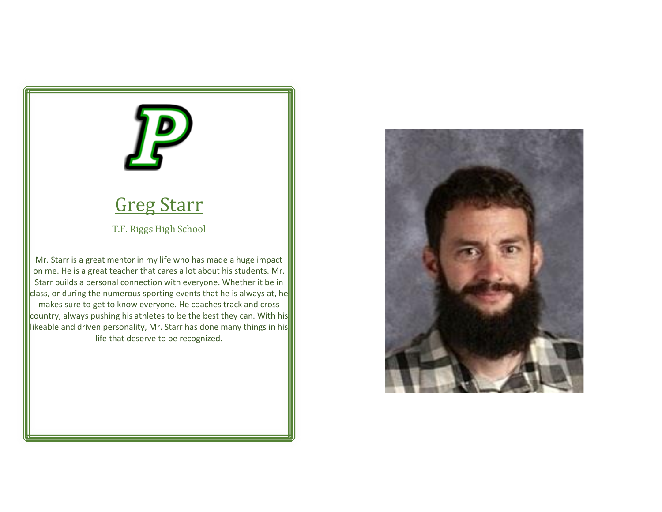### Greg Starr

T.F. Riggs High School

Mr. Starr is a great mentor in my life who has made a huge impact on me. He is a great teacher that cares a lot about his students. Mr. Starr builds a personal connection with everyone. Whether it be in class, or during the numerous sporting events that he is always at, he makes sure to get to know everyone. He coaches track and cross country, always pushing his athletes to be the best they can. With his likeable and driven personality, Mr. Starr has done many things in his life that deserve to be recognized.

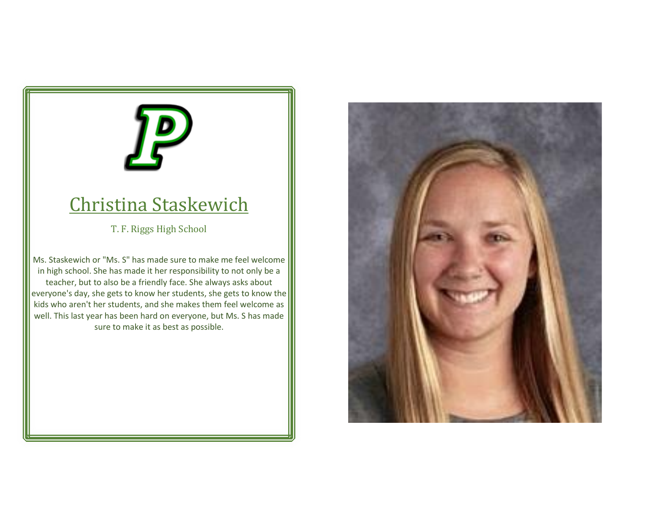### Christina Staskewich

T. F. Riggs High School

Ms. Staskewich or "Ms. S" has made sure to make me feel welcome in high school. She has made it her responsibility to not only be a teacher, but to also be a friendly face. She always asks about everyone's day, she gets to know her students, she gets to know the kids who aren't her students, and she makes them feel welcome as well. This last year has been hard on everyone, but Ms. S has made sure to make it as best as possible.

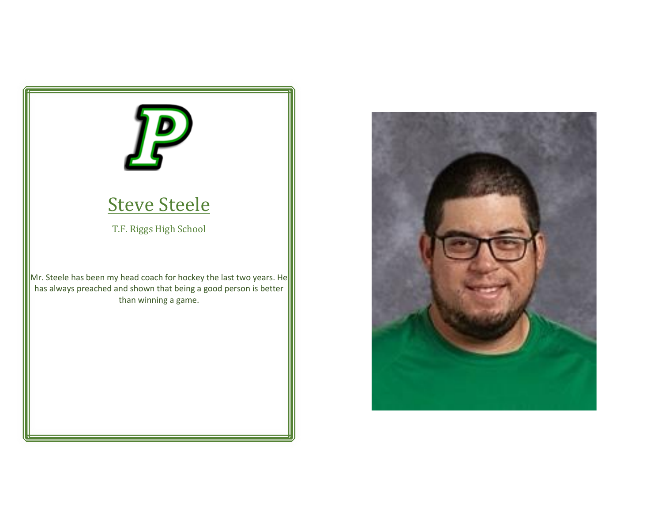

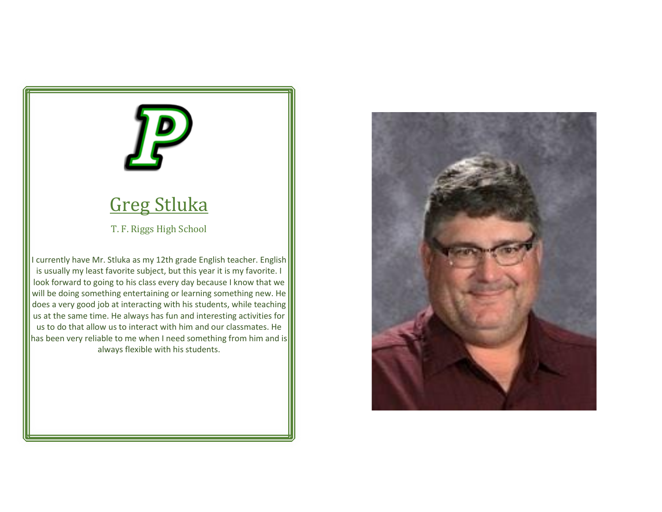### Greg Stluka

T. F. Riggs High School

I currently have Mr. Stluka as my 12th grade English teacher. English is usually my least favorite subject, but this year it is my favorite. I look forward to going to his class every day because I know that we will be doing something entertaining or learning something new. He does a very good job at interacting with his students, while teaching us at the same time. He always has fun and interesting activities for us to do that allow us to interact with him and our classmates. He has been very reliable to me when I need something from him and is always flexible with his students.

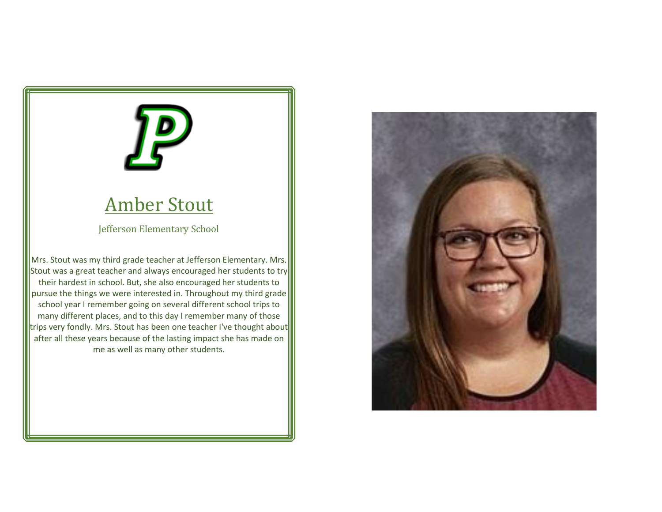# Amber Stout

Jefferson Elementary School

Mrs. Stout was my third grade teacher at Jefferson Elementary. Mrs. Stout was a great teacher and always encouraged her students to try their hardest in school. But, she also encouraged her students to pursue the things we were interested in. Throughout my third grade school year I remember going on several different school trips to many different places, and to this day I remember many of those trips very fondly. Mrs. Stout has been one teacher I've thought about after all these years because of the lasting impact she has made on me as well as many other students.

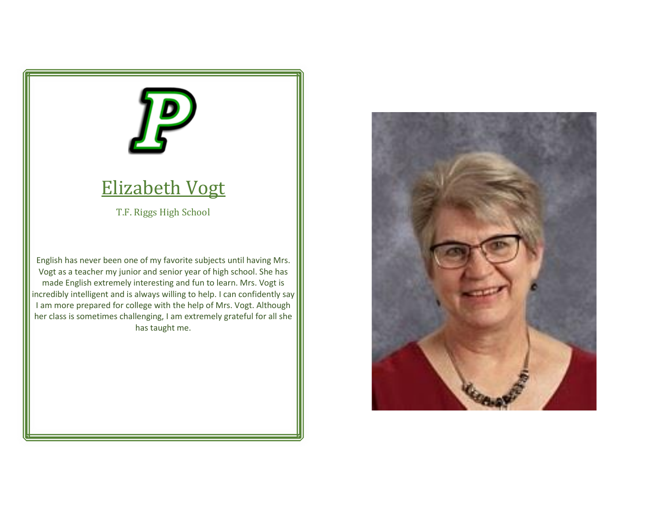

### Elizabeth Vogt

T.F. Riggs High School

English has never been one of my favorite subjects until having Mrs. Vogt as a teacher my junior and senior year of high school. She has made English extremely interesting and fun to learn. Mrs. Vogt is incredibly intelligent and is always willing to help. I can confidently say I am more prepared for college with the help of Mrs. Vogt. Although her class is sometimes challenging, I am extremely grateful for all she has taught me.

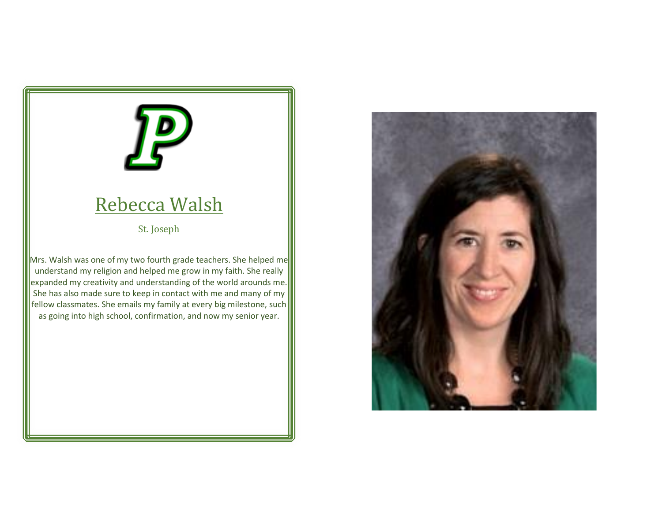### Rebecca Walsh

St. Joseph

Mrs. Walsh was one of my two fourth grade teachers. She helped me understand my religion and helped me grow in my faith. She really expanded my creativity and understanding of the world arounds me. She has also made sure to keep in contact with me and many of my fellow classmates. She emails my family at every big milestone, such as going into high school, confirmation, and now my senior year.